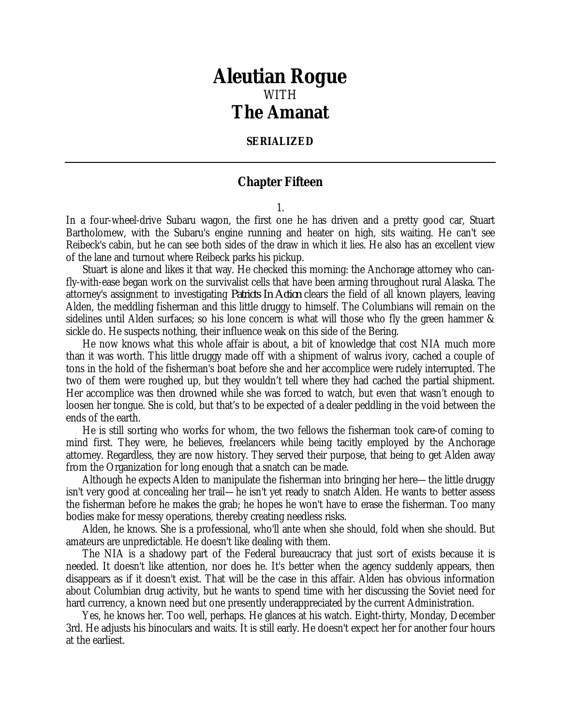## *Aleutian Rogue* WITH *The Amanat*

## **SERIALIZED**

## **Chapter Fifteen**

1.

In a four-wheel-drive Subaru wagon, the first one he has driven and a pretty good car, Stuart Bartholomew, with the Subaru's engine running and heater on high, sits waiting. He can't see Reibeck's cabin, but he can see both sides of the draw in which it lies. He also has an excellent view of the lane and turnout where Reibeck parks his pickup.

Stuart is alone and likes it that way. He checked this morning: the Anchorage attorney who canfly-with-ease began work on the survivalist cells that have been arming throughout rural Alaska. The attorney's assignment to investigating *Patriots In Action* clears the field of all known players, leaving Alden, the meddling fisherman and this little druggy to himself. The Columbians will remain on the sidelines until Alden surfaces; so his lone concern is what will those who fly the green hammer & sickle do. He suspects nothing, their influence weak on this side of the Bering.

He now knows what this whole affair is about, a bit of knowledge that cost NIA much more than it was worth. This little druggy made off with a shipment of walrus ivory, cached a couple of tons in the hold of the fisherman's boat before she and her accomplice were rudely interrupted. The two of them were roughed up, but they wouldn't tell where they had cached the partial shipment. Her accomplice was then drowned while she was forced to watch, but even that wasn't enough to loosen her tongue. She is cold, but that's to be expected of a dealer peddling in the void between the ends of the earth.

He is still sorting who works for whom, the two fellows the fisherman took care-of coming to mind first. They were, he believes, freelancers while being tacitly employed by the Anchorage attorney. Regardless, they are now history. They served their purpose, that being to get Alden away from the Organization for long enough that a snatch can be made.

Although he expects Alden to manipulate the fisherman into bringing her here—the little druggy isn't very good at concealing her trail—he isn't yet ready to snatch Alden. He wants to better assess the fisherman before he makes the grab; he hopes he won't have to erase the fisherman. Too many bodies make for messy operations, thereby creating needless risks.

Alden, he knows. She is a professional, who'll ante when she should, fold when she should. But amateurs are unpredictable. He doesn't like dealing with them.

The NIA is a shadowy part of the Federal bureaucracy that just sort of exists because it is needed. It doesn't like attention, nor does he. It's better when the agency suddenly appears, then disappears as if it doesn't exist. That will be the case in this affair. Alden has obvious information about Columbian drug activity, but he wants to spend time with her discussing the Soviet need for hard currency, a known need but one presently underappreciated by the current Administration.

Yes, he knows her. Too well, perhaps. He glances at his watch. Eight-thirty, Monday, December 3rd. He adjusts his binoculars and waits. It is still early. He doesn't expect her for another four hours at the earliest.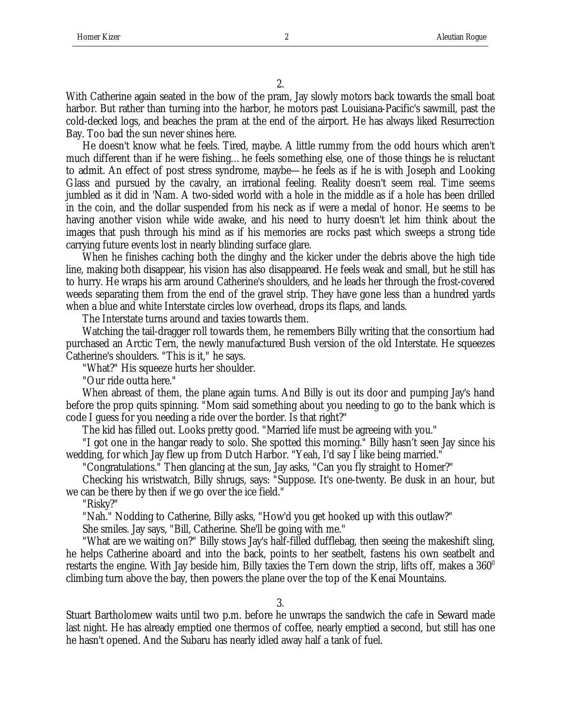2.

With Catherine again seated in the bow of the pram, Jay slowly motors back towards the small boat harbor. But rather than turning into the harbor, he motors past Louisiana-Pacific's sawmill, past the cold-decked logs, and beaches the pram at the end of the airport. He has always liked Resurrection Bay. Too bad the sun never shines here.

He doesn't know what he feels. Tired, maybe. A little rummy from the odd hours which aren't much different than if he were fishing…he feels something else, one of those things he is reluctant to admit. An effect of post stress syndrome, maybe—he feels as if he is with Joseph and Looking Glass and pursued by the cavalry, an irrational feeling. Reality doesn't seem real. Time seems jumbled as it did in 'Nam. A two-sided world with a hole in the middle as if a hole has been drilled in the coin, and the dollar suspended from his neck as if were a medal of honor. He seems to be having another vision while wide awake, and his need to hurry doesn't let him think about the images that push through his mind as if his memories are rocks past which sweeps a strong tide carrying future events lost in nearly blinding surface glare.

When he finishes caching both the dinghy and the kicker under the debris above the high tide line, making both disappear, his vision has also disappeared. He feels weak and small, but he still has to hurry. He wraps his arm around Catherine's shoulders, and he leads her through the frost-covered weeds separating them from the end of the gravel strip. They have gone less than a hundred yards when a blue and white Interstate circles low overhead, drops its flaps, and lands.

The Interstate turns around and taxies towards them.

Watching the tail-dragger roll towards them, he remembers Billy writing that the consortium had purchased an Arctic Tern, the newly manufactured Bush version of the old Interstate. He squeezes Catherine's shoulders. "This is it," he says.

"What?" His squeeze hurts her shoulder.

"Our ride outta here."

When abreast of them, the plane again turns. And Billy is out its door and pumping Jay's hand before the prop quits spinning. "Mom said something about you needing to go to the bank which is code I guess for you needing a ride over the border. Is that right?"

The kid has filled out. Looks pretty good. "Married life must be agreeing with you."

"I got one in the hangar ready to solo. She spotted this morning." Billy hasn't seen Jay since his wedding, for which Jay flew up from Dutch Harbor. "Yeah, I'd say I like being married."

"Congratulations." Then glancing at the sun, Jay asks, "Can you fly straight to Homer?"

Checking his wristwatch, Billy shrugs, says: "Suppose. It's one-twenty. Be dusk in an hour, but we can be there by then if we go over the ice field."

"Risky?"

"Nah." Nodding to Catherine, Billy asks, "How'd you get hooked up with this outlaw?"

She smiles. Jay says, "Bill, Catherine. She'll be going with me."

"What are we waiting on?" Billy stows Jay's half-filled dufflebag, then seeing the makeshift sling, he helps Catherine aboard and into the back, points to her seatbelt, fastens his own seatbelt and restarts the engine. With Jay beside him, Billy taxies the Tern down the strip, lifts off, makes a  $360^{\circ}$ climbing turn above the bay, then powers the plane over the top of the Kenai Mountains.

3.

Stuart Bartholomew waits until two p.m. before he unwraps the sandwich the cafe in Seward made last night. He has already emptied one thermos of coffee, nearly emptied a second, but still has one he hasn't opened. And the Subaru has nearly idled away half a tank of fuel.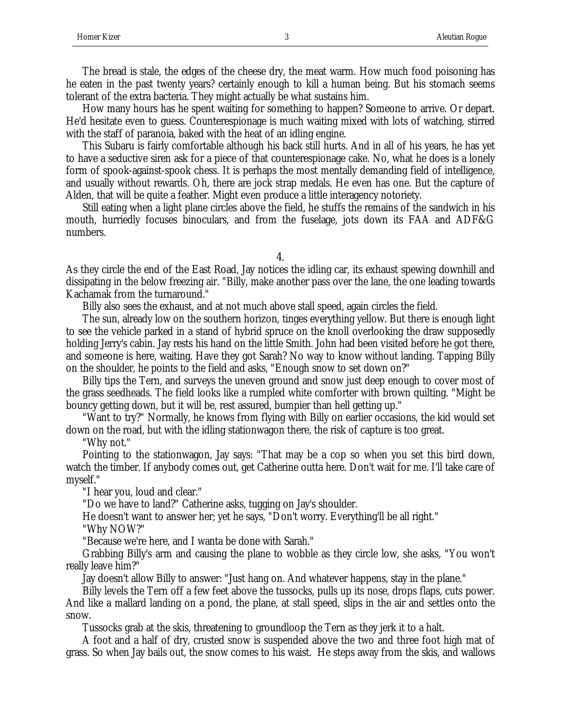The bread is stale, the edges of the cheese dry, the meat warm. How much food poisoning has he eaten in the past twenty years? certainly enough to kill a human being. But his stomach seems tolerant of the extra bacteria. They might actually be what sustains him.

How many hours has he spent waiting for something to happen? Someone to arrive. Or depart. He'd hesitate even to guess. Counterespionage is much waiting mixed with lots of watching, stirred with the staff of paranoia, baked with the heat of an idling engine.

This Subaru is fairly comfortable although his back still hurts. And in all of his years, he has yet to have a seductive siren ask for a piece of that counterespionage cake. No, what he does is a lonely form of spook-against-spook chess. It is perhaps the most mentally demanding field of intelligence, and usually without rewards. Oh, there are jock strap medals. He even has one. But the capture of Alden, that will be quite a feather. Might even produce a little interagency notoriety.

Still eating when a light plane circles above the field, he stuffs the remains of the sandwich in his mouth, hurriedly focuses binoculars, and from the fuselage, jots down its FAA and ADF&G numbers.

4.

As they circle the end of the East Road, Jay notices the idling car, its exhaust spewing downhill and dissipating in the below freezing air. "Billy, make another pass over the lane, the one leading towards Kachamak from the turnaround."

Billy also sees the exhaust, and at not much above stall speed, again circles the field.

The sun, already low on the southern horizon, tinges everything yellow. But there is enough light to see the vehicle parked in a stand of hybrid spruce on the knoll overlooking the draw supposedly holding Jerry's cabin. Jay rests his hand on the little Smith. John had been visited before he got there, and someone is here, waiting. Have they got Sarah? No way to know without landing. Tapping Billy on the shoulder, he points to the field and asks, "Enough snow to set down on?"

Billy tips the Tern, and surveys the uneven ground and snow just deep enough to cover most of the grass seedheads. The field looks like a rumpled white comforter with brown quilting. "Might be bouncy getting down, but it will be, rest assured, bumpier than hell getting up."

"Want to try?" Normally, he knows from flying with Billy on earlier occasions, the kid would set down on the road, but with the idling stationwagon there, the risk of capture is too great.

"Why not."

Pointing to the stationwagon, Jay says: "That may be a cop so when you set this bird down, watch the timber. If anybody comes out, get Catherine outta here. Don't wait for me. I'll take care of myself."

"I hear you, loud and clear."

"Do we have to land?" Catherine asks, tugging on Jay's shoulder.

He doesn't want to answer her; yet he says, "Don't worry. Everything'll be all right."

"Why NOW?"

"Because we're here, and I wanta be done with Sarah."

Grabbing Billy's arm and causing the plane to wobble as they circle low, she asks, "You won't really leave him?"

Jay doesn't allow Billy to answer: "Just hang on. And whatever happens, stay in the plane."

Billy levels the Tern off a few feet above the tussocks, pulls up its nose, drops flaps, cuts power. And like a mallard landing on a pond, the plane, at stall speed, slips in the air and settles onto the snow.

Tussocks grab at the skis, threatening to groundloop the Tern as they jerk it to a halt.

A foot and a half of dry, crusted snow is suspended above the two and three foot high mat of grass. So when Jay bails out, the snow comes to his waist. He steps away from the skis, and wallows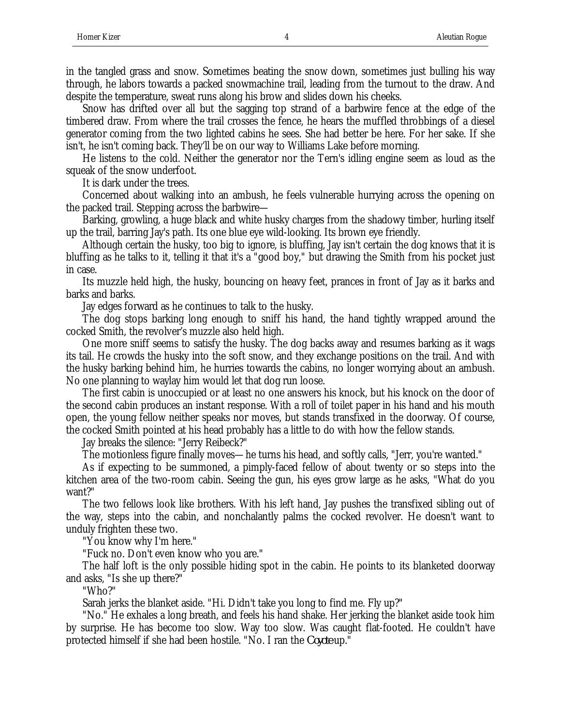in the tangled grass and snow. Sometimes beating the snow down, sometimes just bulling his way through, he labors towards a packed snowmachine trail, leading from the turnout to the draw. And despite the temperature, sweat runs along his brow and slides down his cheeks.

Snow has drifted over all but the sagging top strand of a barbwire fence at the edge of the timbered draw. From where the trail crosses the fence, he hears the muffled throbbings of a diesel generator coming from the two lighted cabins he sees. She had better be here. For her sake. If she isn't, he isn't coming back. They'll be on our way to Williams Lake before morning.

He listens to the cold. Neither the generator nor the Tern's idling engine seem as loud as the squeak of the snow underfoot.

It is dark under the trees.

Concerned about walking into an ambush, he feels vulnerable hurrying across the opening on the packed trail. Stepping across the barbwire—

Barking, growling, a huge black and white husky charges from the shadowy timber, hurling itself up the trail, barring Jay's path. Its one blue eye wild-looking. Its brown eye friendly.

Although certain the husky, too big to ignore, is bluffing, Jay isn't certain the dog knows that it is bluffing as he talks to it, telling it that it's a "good boy," but drawing the Smith from his pocket just in case.

Its muzzle held high, the husky, bouncing on heavy feet, prances in front of Jay as it barks and barks and barks.

Jay edges forward as he continues to talk to the husky.

The dog stops barking long enough to sniff his hand, the hand tightly wrapped around the cocked Smith, the revolver's muzzle also held high.

One more sniff seems to satisfy the husky. The dog backs away and resumes barking as it wags its tail. He crowds the husky into the soft snow, and they exchange positions on the trail. And with the husky barking behind him, he hurries towards the cabins, no longer worrying about an ambush. No one planning to waylay him would let that dog run loose.

The first cabin is unoccupied or at least no one answers his knock, but his knock on the door of the second cabin produces an instant response. With a roll of toilet paper in his hand and his mouth open, the young fellow neither speaks nor moves, but stands transfixed in the doorway. Of course, the cocked Smith pointed at his head probably has a little to do with how the fellow stands.

Jay breaks the silence: "Jerry Reibeck?"

The motionless figure finally moves—he turns his head, and softly calls, "Jerr, you're wanted."

As if expecting to be summoned, a pimply-faced fellow of about twenty or so steps into the kitchen area of the two-room cabin. Seeing the gun, his eyes grow large as he asks, "What do you want?"

The two fellows look like brothers. With his left hand, Jay pushes the transfixed sibling out of the way, steps into the cabin, and nonchalantly palms the cocked revolver. He doesn't want to unduly frighten these two.

"You know why I'm here."

"Fuck no. Don't even know who you are."

The half loft is the only possible hiding spot in the cabin. He points to its blanketed doorway and asks, "Is she up there?"

"Who?"

Sarah jerks the blanket aside. "Hi. Didn't take you long to find me. Fly up?"

"No." He exhales a long breath, and feels his hand shake. Her jerking the blanket aside took him by surprise. He has become too slow. Way too slow. Was caught flat-footed. He couldn't have protected himself if she had been hostile. "No. I ran the *Coyote* up."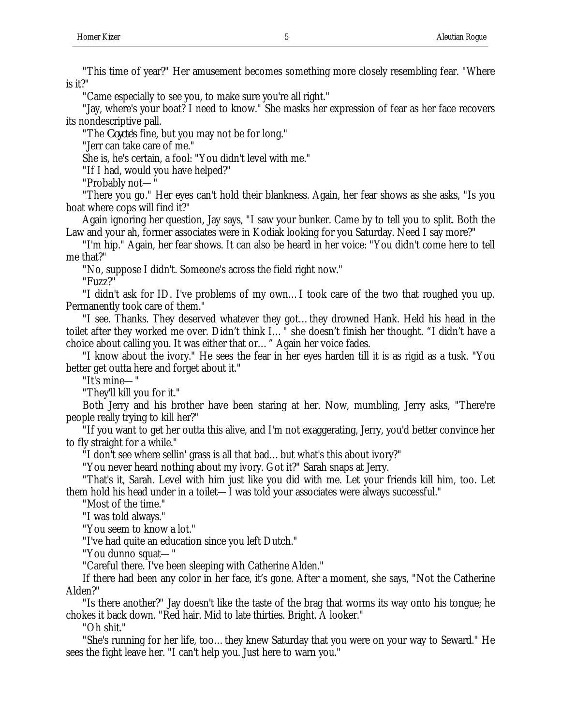"This time of year?" Her amusement becomes something more closely resembling fear. "Where is it?"

"Came especially to see you, to make sure you're all right."

"Jay, where's your boat? I need to know." She masks her expression of fear as her face recovers its nondescriptive pall.

"The *Coyote*'s fine, but you may not be for long."

"Jerr can take care of me."

She is, he's certain, a fool: "You didn't level with me."

"If I had, would you have helped?"

"Probably not—"

"There you go." Her eyes can't hold their blankness. Again, her fear shows as she asks, "Is you boat where cops will find it?"

Again ignoring her question, Jay says, "I saw your bunker. Came by to tell you to split. Both the Law and your ah, former associates were in Kodiak looking for you Saturday. Need I say more?"

"I'm hip." Again, her fear shows. It can also be heard in her voice: "You didn't come here to tell me that?"

"No, suppose I didn't. Someone's across the field right now."

"Fuzz?"

"I didn't ask for ID. I've problems of my own…I took care of the two that roughed you up. Permanently took care of them."

"I see. Thanks. They deserved whatever they got…they drowned Hank. Held his head in the toilet after they worked me over. Didn't think I…" she doesn't finish her thought. "I didn't have a choice about calling you. It was either that or…" Again her voice fades.

"I know about the ivory." He sees the fear in her eyes harden till it is as rigid as a tusk. "You better get outta here and forget about it."

"It's mine—"

"They'll kill you for it."

Both Jerry and his brother have been staring at her. Now, mumbling, Jerry asks, "There're people really trying to kill her?"

"If you want to get her outta this alive, and I'm not exaggerating, Jerry, you'd better convince her to fly straight for a while."

"I don't see where sellin' grass is all that bad…but what's this about ivory?"

"You never heard nothing about my ivory. Got it?" Sarah snaps at Jerry.

"That's it, Sarah. Level with him just like you did with me. Let your friends kill him, too. Let them hold his head under in a toilet—I was told your associates were always successful."

"Most of the time."

"I was told always."

"You seem to know a lot."

"I've had quite an education since you left Dutch."

"You dunno squat—"

"Careful there. I've been sleeping with Catherine Alden."

If there had been any color in her face, it's gone. After a moment, she says, "Not the Catherine Alden?"

"Is there another?" Jay doesn't like the taste of the brag that worms its way onto his tongue; he chokes it back down. "Red hair. Mid to late thirties. Bright. A looker."

"Oh shit."

"She's running for her life, too…they knew Saturday that you were on your way to Seward." He sees the fight leave her. "I can't help you. Just here to warn you."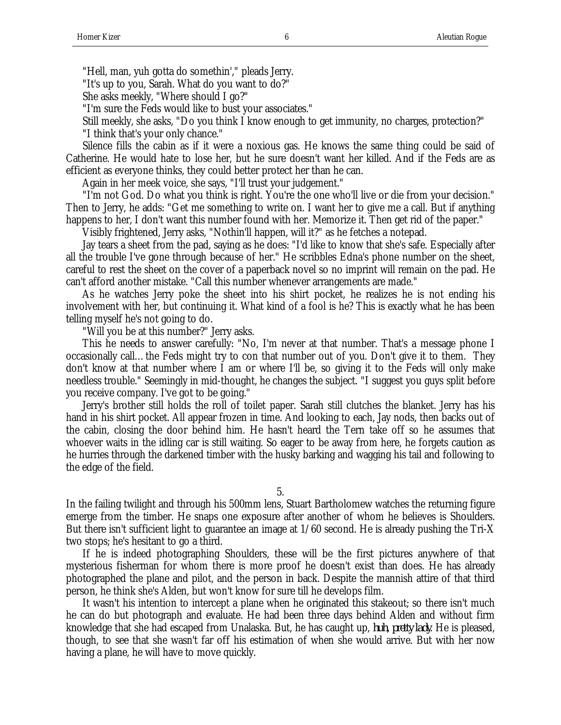"Hell, man, yuh gotta do somethin'," pleads Jerry.

"It's up to you, Sarah. What do you want to do?"

She asks meekly, "Where should I go?"

"I'm sure the Feds would like to bust your associates."

Still meekly, she asks, "Do you think I know enough to get immunity, no charges, protection?"

"I think that's your only chance."

Silence fills the cabin as if it were a noxious gas. He knows the same thing could be said of Catherine. He would hate to lose her, but he sure doesn't want her killed. And if the Feds are as efficient as everyone thinks, they could better protect her than he can.

Again in her meek voice, she says, "I'll trust your judgement."

"I'm not God. Do what you think is right. You're the one who'll live or die from your decision." Then to Jerry, he adds: "Get me something to write on. I want her to give me a call. But if anything happens to her, I don't want this number found with her. Memorize it. Then get rid of the paper."

Visibly frightened, Jerry asks, "Nothin'll happen, will it?" as he fetches a notepad.

Jay tears a sheet from the pad, saying as he does: "I'd like to know that she's safe. Especially after all the trouble I've gone through because of her." He scribbles Edna's phone number on the sheet, careful to rest the sheet on the cover of a paperback novel so no imprint will remain on the pad. He can't afford another mistake. "Call this number whenever arrangements are made."

As he watches Jerry poke the sheet into his shirt pocket, he realizes he is not ending his involvement with her, but continuing it. What kind of a fool is he? This is exactly what he has been telling myself he's not going to do.

"Will you be at this number?" Jerry asks.

This he needs to answer carefully: "No, I'm never at that number. That's a message phone I occasionally call…the Feds might try to con that number out of you. Don't give it to them. They don't know at that number where I am or where I'll be, so giving it to the Feds will only make needless trouble." Seemingly in mid-thought, he changes the subject. "I suggest you guys split before you receive company. I've got to be going."

Jerry's brother still holds the roll of toilet paper. Sarah still clutches the blanket. Jerry has his hand in his shirt pocket. All appear frozen in time. And looking to each, Jay nods, then backs out of the cabin, closing the door behind him. He hasn't heard the Tern take off so he assumes that whoever waits in the idling car is still waiting. So eager to be away from here, he forgets caution as he hurries through the darkened timber with the husky barking and wagging his tail and following to the edge of the field.

5.

In the failing twilight and through his 500mm lens, Stuart Bartholomew watches the returning figure emerge from the timber. He snaps one exposure after another of whom he believes is Shoulders. But there isn't sufficient light to guarantee an image at  $1/60$  second. He is already pushing the Tri-X two stops; he's hesitant to go a third.

If he is indeed photographing Shoulders, these will be the first pictures anywhere of that mysterious fisherman for whom there is more proof he doesn't exist than does. He has already photographed the plane and pilot, and the person in back. Despite the mannish attire of that third person, he think she's Alden, but won't know for sure till he develops film.

It wasn't his intention to intercept a plane when he originated this stakeout; so there isn't much he can do but photograph and evaluate. He had been three days behind Alden and without firm knowledge that she had escaped from Unalaska. But, he has caught up, *huh, pretty lady*. He is pleased, though, to see that she wasn't far off his estimation of when she would arrive. But with her now having a plane, he will have to move quickly.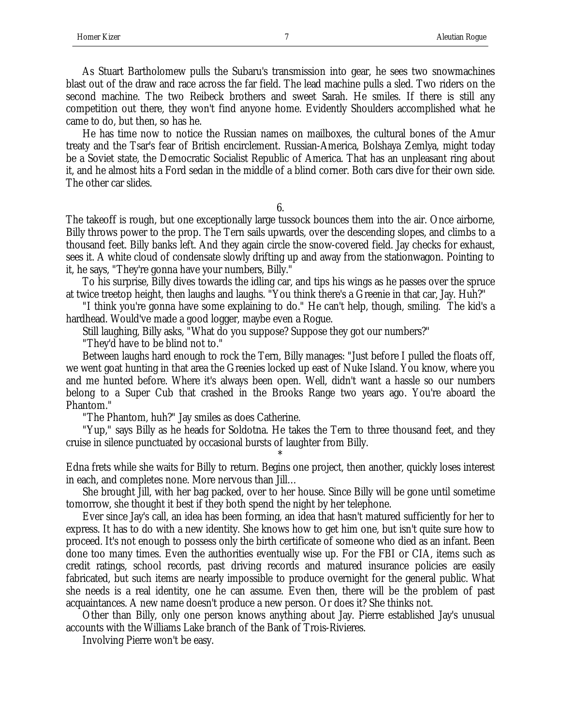As Stuart Bartholomew pulls the Subaru's transmission into gear, he sees two snowmachines blast out of the draw and race across the far field. The lead machine pulls a sled. Two riders on the second machine. The two Reibeck brothers and sweet Sarah. He smiles. If there is still any competition out there, they won't find anyone home. Evidently Shoulders accomplished what he came to do, but then, so has he.

He has time now to notice the Russian names on mailboxes, the cultural bones of the Amur treaty and the Tsar's fear of British encirclement. Russian-America, Bolshaya Zemlya, might today be a Soviet state, the Democratic Socialist Republic of America. That has an unpleasant ring about it, and he almost hits a Ford sedan in the middle of a blind corner. Both cars dive for their own side. The other car slides.

6.

The takeoff is rough, but one exceptionally large tussock bounces them into the air. Once airborne, Billy throws power to the prop. The Tern sails upwards, over the descending slopes, and climbs to a thousand feet. Billy banks left. And they again circle the snow-covered field. Jay checks for exhaust, sees it. A white cloud of condensate slowly drifting up and away from the stationwagon. Pointing to it, he says, "They're gonna have your numbers, Billy."

To his surprise, Billy dives towards the idling car, and tips his wings as he passes over the spruce at twice treetop height, then laughs and laughs. "You think there's a Greenie in that car, Jay. Huh?"

"I think you're gonna have some explaining to do." He can't help, though, smiling. The kid's a hardhead. Would've made a good logger, maybe even a Rogue.

Still laughing, Billy asks, "What do you suppose? Suppose they got our numbers?"

"They'd have to be blind not to."

Between laughs hard enough to rock the Tern, Billy manages: "Just before I pulled the floats off, we went goat hunting in that area the Greenies locked up east of Nuke Island. You know, where you and me hunted before. Where it's always been open. Well, didn't want a hassle so our numbers belong to a Super Cub that crashed in the Brooks Range two years ago. You're aboard the Phantom."

"The Phantom, huh?" Jay smiles as does Catherine.

"Yup," says Billy as he heads for Soldotna. He takes the Tern to three thousand feet, and they cruise in silence punctuated by occasional bursts of laughter from Billy.

\* Edna frets while she waits for Billy to return. Begins one project, then another, quickly loses interest in each, and completes none. More nervous than Jill…

She brought Jill, with her bag packed, over to her house. Since Billy will be gone until sometime tomorrow, she thought it best if they both spend the night by her telephone.

Ever since Jay's call, an idea has been forming, an idea that hasn't matured sufficiently for her to express. It has to do with a new identity. She knows how to get him one, but isn't quite sure how to proceed. It's not enough to possess only the birth certificate of someone who died as an infant. Been done too many times. Even the authorities eventually wise up. For the FBI or CIA, items such as credit ratings, school records, past driving records and matured insurance policies are easily fabricated, but such items are nearly impossible to produce overnight for the general public. What she needs is a real identity, one he can assume. Even then, there will be the problem of past acquaintances. A new name doesn't produce a new person. Or does it? She thinks not.

Other than Billy, only one person knows anything about Jay. Pierre established Jay's unusual accounts with the Williams Lake branch of the Bank of Trois-Rivieres.

Involving Pierre won't be easy.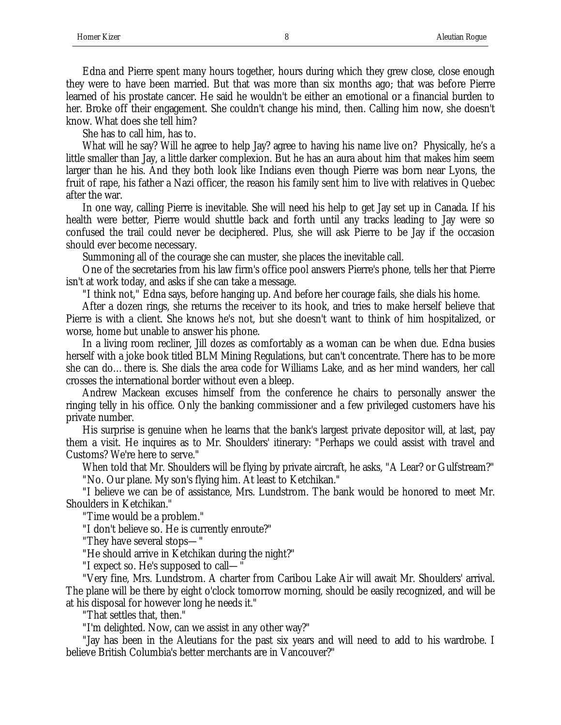Edna and Pierre spent many hours together, hours during which they grew close, close enough they were to have been married. But that was more than six months ago; that was before Pierre learned of his prostate cancer. He said he wouldn't be either an emotional or a financial burden to her. Broke off their engagement. She couldn't change his mind, then. Calling him now, she doesn't know. What does she tell him?

She has to call him, has to.

What will he say? Will he agree to help Jay? agree to having his name live on? Physically, he's a little smaller than Jay, a little darker complexion. But he has an aura about him that makes him seem larger than he his. And they both look like Indians even though Pierre was born near Lyons, the fruit of rape, his father a Nazi officer, the reason his family sent him to live with relatives in Quebec after the war.

In one way, calling Pierre is inevitable. She will need his help to get Jay set up in Canada. If his health were better, Pierre would shuttle back and forth until any tracks leading to Jay were so confused the trail could never be deciphered. Plus, she will ask Pierre to be Jay if the occasion should ever become necessary.

Summoning all of the courage she can muster, she places the inevitable call.

One of the secretaries from his law firm's office pool answers Pierre's phone, tells her that Pierre isn't at work today, and asks if she can take a message.

"I think not," Edna says, before hanging up. And before her courage fails, she dials his home.

After a dozen rings, she returns the receiver to its hook, and tries to make herself believe that Pierre is with a client. She knows he's not, but she doesn't want to think of him hospitalized, or worse, home but unable to answer his phone.

In a living room recliner, Jill dozes as comfortably as a woman can be when due. Edna busies herself with a joke book titled BLM Mining Regulations, but can't concentrate. There has to be more she can do…there is. She dials the area code for Williams Lake, and as her mind wanders, her call crosses the international border without even a bleep.

Andrew Mackean excuses himself from the conference he chairs to personally answer the ringing telly in his office. Only the banking commissioner and a few privileged customers have his private number.

His surprise is genuine when he learns that the bank's largest private depositor will, at last, pay them a visit. He inquires as to Mr. Shoulders' itinerary: "Perhaps we could assist with travel and Customs? We're here to serve."

When told that Mr. Shoulders will be flying by private aircraft, he asks, "A Lear? or Gulfstream?" "No. Our plane. My son's flying him. At least to Ketchikan."

"I believe we can be of assistance, Mrs. Lundstrom. The bank would be honored to meet Mr. Shoulders in Ketchikan."

"Time would be a problem."

"I don't believe so. He is currently enroute?"

"They have several stops—"

"He should arrive in Ketchikan during the night?"

"I expect so. He's supposed to call—"

"Very fine, Mrs. Lundstrom. A charter from Caribou Lake Air will await Mr. Shoulders' arrival. The plane will be there by eight o'clock tomorrow morning, should be easily recognized, and will be at his disposal for however long he needs it."

"That settles that, then."

"I'm delighted. Now, can we assist in any other way?"

"Jay has been in the Aleutians for the past six years and will need to add to his wardrobe. I believe British Columbia's better merchants are in Vancouver?"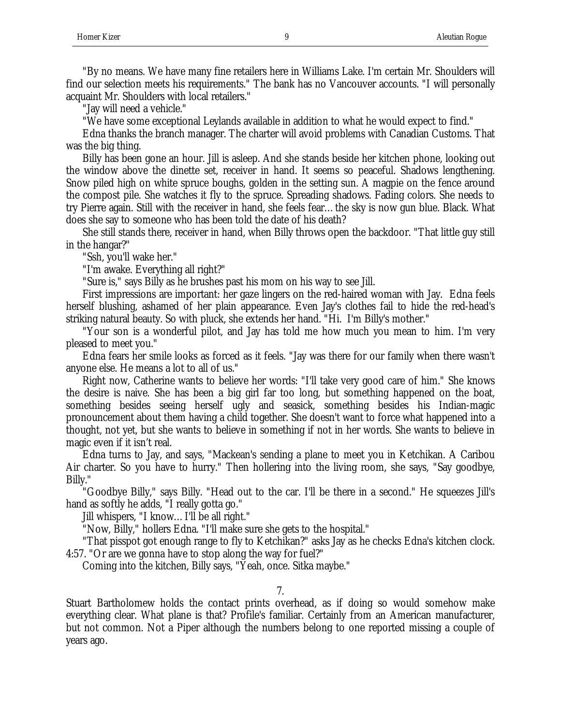"By no means. We have many fine retailers here in Williams Lake. I'm certain Mr. Shoulders will find our selection meets his requirements." The bank has no Vancouver accounts. "I will personally acquaint Mr. Shoulders with local retailers."

"Jay will need a vehicle."

"We have some exceptional Leylands available in addition to what he would expect to find."

Edna thanks the branch manager. The charter will avoid problems with Canadian Customs. That was the big thing.

Billy has been gone an hour. Jill is asleep. And she stands beside her kitchen phone, looking out the window above the dinette set, receiver in hand. It seems so peaceful. Shadows lengthening. Snow piled high on white spruce boughs, golden in the setting sun. A magpie on the fence around the compost pile. She watches it fly to the spruce. Spreading shadows. Fading colors. She needs to try Pierre again. Still with the receiver in hand, she feels fear…the sky is now gun blue. Black. What does she say to someone who has been told the date of his death?

She still stands there, receiver in hand, when Billy throws open the backdoor. "That little guy still in the hangar?"

"Ssh, you'll wake her."

"I'm awake. Everything all right?"

"Sure is," says Billy as he brushes past his mom on his way to see Jill.

First impressions are important: her gaze lingers on the red-haired woman with Jay. Edna feels herself blushing, ashamed of her plain appearance. Even Jay's clothes fail to hide the red-head's striking natural beauty. So with pluck, she extends her hand. "Hi. I'm Billy's mother."

"Your son is a wonderful pilot, and Jay has told me how much you mean to him. I'm very pleased to meet you."

Edna fears her smile looks as forced as it feels. "Jay was there for our family when there wasn't anyone else. He means a lot to all of us."

Right now, Catherine wants to believe her words: "I'll take very good care of him." She knows the desire is naive. She has been a big girl far too long, but something happened on the boat, something besides seeing herself ugly and seasick, something besides his Indian-magic pronouncement about them having a child together. She doesn't want to force what happened into a thought, not yet, but she wants to believe in something if not in her words. She wants to believe in magic even if it isn't real.

Edna turns to Jay, and says, "Mackean's sending a plane to meet you in Ketchikan. A Caribou Air charter. So you have to hurry." Then hollering into the living room, she says, "Say goodbye, Billy."

"Goodbye Billy," says Billy. "Head out to the car. I'll be there in a second." He squeezes Jill's hand as softly he adds, "I really gotta go."

Jill whispers, "I know…I'll be all right."

"Now, Billy," hollers Edna. "I'll make sure she gets to the hospital."

"That pisspot got enough range to fly to Ketchikan?" asks Jay as he checks Edna's kitchen clock. 4:57. "Or are we gonna have to stop along the way for fuel?"

Coming into the kitchen, Billy says, "Yeah, once. Sitka maybe."

7.

Stuart Bartholomew holds the contact prints overhead, as if doing so would somehow make everything clear. What plane is that? Profile's familiar. Certainly from an American manufacturer, but not common. Not a Piper although the numbers belong to one reported missing a couple of years ago.